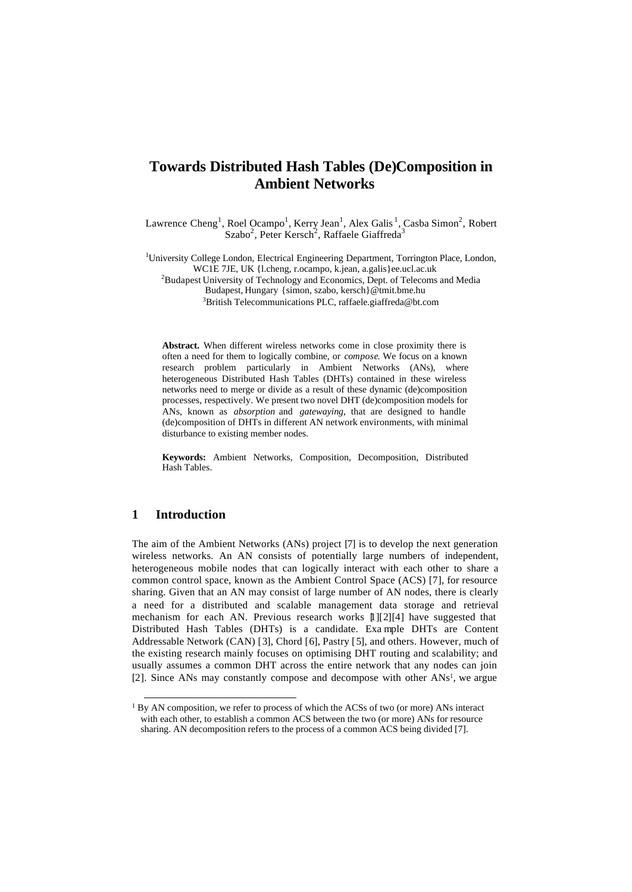Lawrence Cheng<sup>1</sup>, Roel Ocampo<sup>1</sup>, Kerry Jean<sup>1</sup>, Alex Galis<sup>1</sup>, Casba Simon<sup>2</sup>, Robert Szabo<sup>2</sup>, Peter Kersch<sup>2</sup>, Raffaele Giaffreda<sup>3</sup>

<sup>1</sup>University College London, Electrical Engineering Department, Torrington Place, London, WC1E 7JE, UK {l.cheng, r.ocampo, k.jean, a.galis}ee.ucl.ac.uk <sup>2</sup>Budapest University of Technology and Economics, Dept. of Telecoms and Media

Budapest, Hungary {simon, szabo, kersch}@tmit.bme.hu <sup>3</sup>British Telecommunications PLC, raffaele.giaffreda@bt.com

**Abstract.** When different wireless networks come in close proximity there is often a need for them to logically combine, or *compose*. We focus on a known research problem particularly in Ambient Networks (ANs), where heterogeneous Distributed Hash Tables (DHTs) contained in these wireless networks need to merge or divide as a result of these dynamic (de)composition processes, respectively. We present two novel DHT (de)composition models for ANs, known as *absorption* and *gatewaying*, that are designed to handle (de)composition of DHTs in different AN network environments, with minimal disturbance to existing member nodes.

**Keywords:** Ambient Networks, Composition, Decomposition, Distributed Hash Tables.

# **1 Introduction**

l

The aim of the Ambient Networks (ANs) project [7] is to develop the next generation wireless networks. An AN consists of potentially large numbers of independent, heterogeneous mobile nodes that can logically interact with each other to share a common control space, known as the Ambient Control Space (ACS) [7], for resource sharing. Given that an AN may consist of large number of AN nodes, there is clearly a need for a distributed and scalable management data storage and retrieval mechanism for each AN. Previous research works [1][2][4] have suggested that Distributed Hash Tables (DHTs) is a candidate. Exa mple DHTs are Content Addressable Network (CAN) [3], Chord [6], Pastry [5], and others. However, much of the existing research mainly focuses on optimising DHT routing and scalability; and usually assumes a common DHT across the entire network that any nodes can join [2]. Since ANs may constantly compose and decompose with other ANs<sup>1</sup>, we argue

<sup>&</sup>lt;sup>1</sup> By AN composition, we refer to process of which the ACSs of two (or more) ANs interact with each other, to establish a common ACS between the two (or more) ANs for resource sharing. AN decomposition refers to the process of a common ACS being divided [7].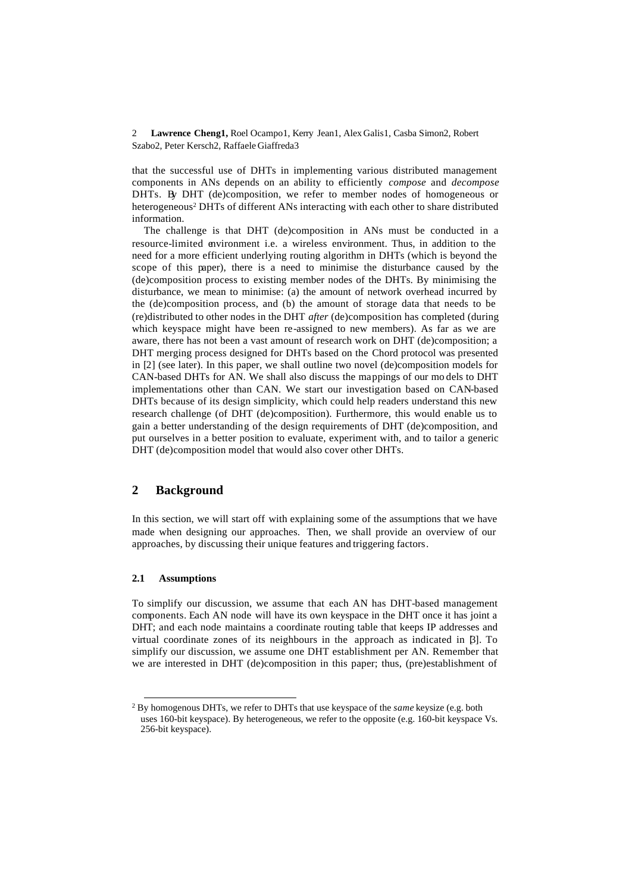that the successful use of DHTs in implementing various distributed management components in ANs depends on an ability to efficiently *compose* and *decompose* DHTs. By DHT (de)composition, we refer to member nodes of homogeneous or heterogeneous<sup>2</sup> DHTs of different ANs interacting with each other to share distributed information.

The challenge is that DHT (de)composition in ANs must be conducted in a resource-limited environment i.e. a wireless environment. Thus, in addition to the need for a more efficient underlying routing algorithm in DHTs (which is beyond the scope of this paper), there is a need to minimise the disturbance caused by the (de)composition process to existing member nodes of the DHTs. By minimising the disturbance, we mean to minimise: (a) the amount of network overhead incurred by the (de)composition process, and (b) the amount of storage data that needs to be (re)distributed to other nodes in the DHT *after* (de)composition has completed (during which keyspace might have been re-assigned to new members). As far as we are aware, there has not been a vast amount of research work on DHT (de)composition; a DHT merging process designed for DHTs based on the Chord protocol was presented in [2] (see later). In this paper, we shall outline two novel (de)composition models for CAN-based DHTs for AN. We shall also discuss the mappings of our mo dels to DHT implementations other than CAN. We start our investigation based on CAN-based DHTs because of its design simplicity, which could help readers understand this new research challenge (of DHT (de)composition). Furthermore, this would enable us to gain a better understanding of the design requirements of DHT (de)composition, and put ourselves in a better position to evaluate, experiment with, and to tailor a generic DHT (de)composition model that would also cover other DHTs.

### **2 Background**

In this section, we will start off with explaining some of the assumptions that we have made when designing our approaches. Then, we shall provide an overview of our approaches, by discussing their unique features and triggering factors.

### **2.1 Assumptions**

l

To simplify our discussion, we assume that each AN has DHT-based management components. Each AN node will have its own keyspace in the DHT once it has joint a DHT; and each node maintains a coordinate routing table that keeps IP addresses and virtual coordinate zones of its neighbours in the approach as indicated in [3]. To simplify our discussion, we assume one DHT establishment per AN. Remember that we are interested in DHT (de)composition in this paper; thus, (pre)establishment of

<sup>2</sup> By homogenous DHTs, we refer to DHTs that use keyspace of the *same* keysize (e.g. both uses 160-bit keyspace). By heterogeneous, we refer to the opposite (e.g. 160-bit keyspace Vs. 256-bit keyspace).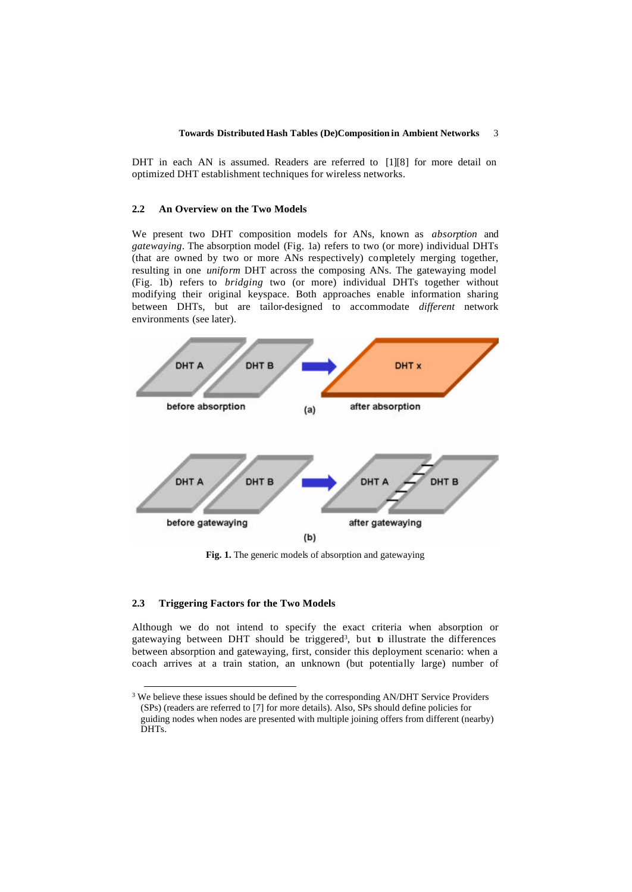DHT in each AN is assumed. Readers are referred to [1][8] for more detail on optimized DHT establishment techniques for wireless networks.

### **2.2 An Overview on the Two Models**

We present two DHT composition models for ANs, known as *absorption* and *gatewaying*. The absorption model (Fig. 1a) refers to two (or more) individual DHTs (that are owned by two or more ANs respectively) completely merging together, resulting in one *uniform* DHT across the composing ANs. The gatewaying model (Fig. 1b) refers to *bridging* two (or more) individual DHTs together without modifying their original keyspace. Both approaches enable information sharing between DHTs, but are tailor-designed to accommodate *different* network environments (see later).



**Fig. 1.** The generic models of absorption and gatewaying

### **2.3 Triggering Factors for the Two Models**

l

Although we do not intend to specify the exact criteria when absorption or gatewaying between DHT should be triggered<sup>3</sup>, but to illustrate the differences between absorption and gatewaying, first, consider this deployment scenario: when a coach arrives at a train station, an unknown (but potentially large) number of

<sup>&</sup>lt;sup>3</sup> We believe these issues should be defined by the corresponding AN/DHT Service Providers (SPs) (readers are referred to [7] for more details). Also, SPs should define policies for guiding nodes when nodes are presented with multiple joining offers from different (nearby) DHT<sub>s</sub>.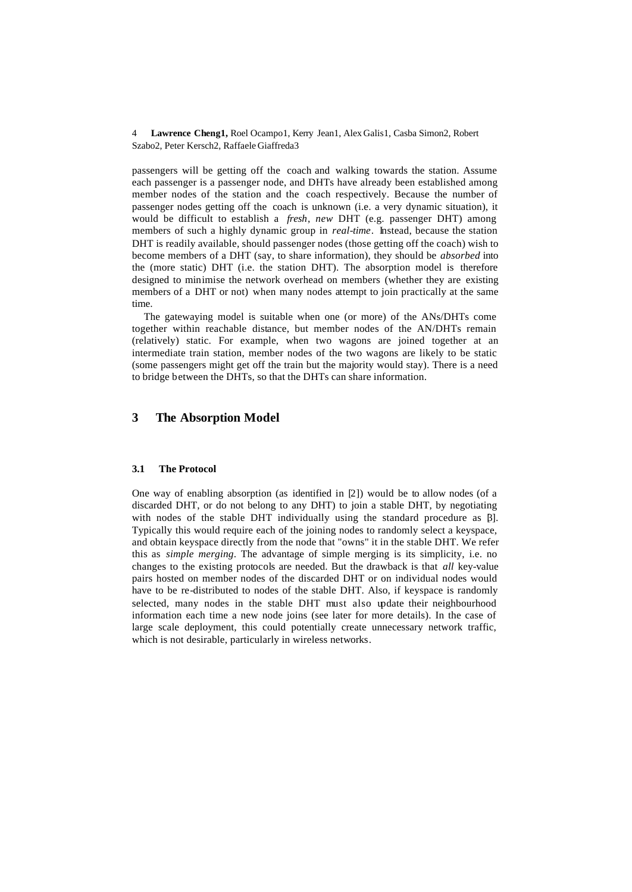passengers will be getting off the coach and walking towards the station. Assume each passenger is a passenger node, and DHTs have already been established among member nodes of the station and the coach respectively. Because the number of passenger nodes getting off the coach is unknown (i.e. a very dynamic situation), it would be difficult to establish a *fresh*, *new* DHT (e.g. passenger DHT) among members of such a highly dynamic group in *real-time*. Instead, because the station DHT is readily available, should passenger nodes (those getting off the coach) wish to become members of a DHT (say, to share information), they should be *absorbed* into the (more static) DHT (i.e. the station DHT). The absorption model is therefore designed to minimise the network overhead on members (whether they are existing members of a DHT or not) when many nodes attempt to join practically at the same time.

The gatewaying model is suitable when one (or more) of the ANs/DHTs come together within reachable distance, but member nodes of the AN/DHTs remain (relatively) static. For example, when two wagons are joined together at an intermediate train station, member nodes of the two wagons are likely to be static (some passengers might get off the train but the majority would stay). There is a need to bridge between the DHTs, so that the DHTs can share information.

# **3 The Absorption Model**

### **3.1 The Protocol**

One way of enabling absorption (as identified in [2]) would be to allow nodes (of a discarded DHT, or do not belong to any DHT) to join a stable DHT, by negotiating with nodes of the stable DHT individually using the standard procedure as  $\beta$ . Typically this would require each of the joining nodes to randomly select a keyspace, and obtain keyspace directly from the node that "owns" it in the stable DHT. We refer this as *simple merging*. The advantage of simple merging is its simplicity, i.e. no changes to the existing protocols are needed. But the drawback is that *all* key-value pairs hosted on member nodes of the discarded DHT or on individual nodes would have to be re-distributed to nodes of the stable DHT. Also, if keyspace is randomly selected, many nodes in the stable DHT must also update their neighbourhood information each time a new node joins (see later for more details). In the case of large scale deployment, this could potentially create unnecessary network traffic, which is not desirable, particularly in wireless networks.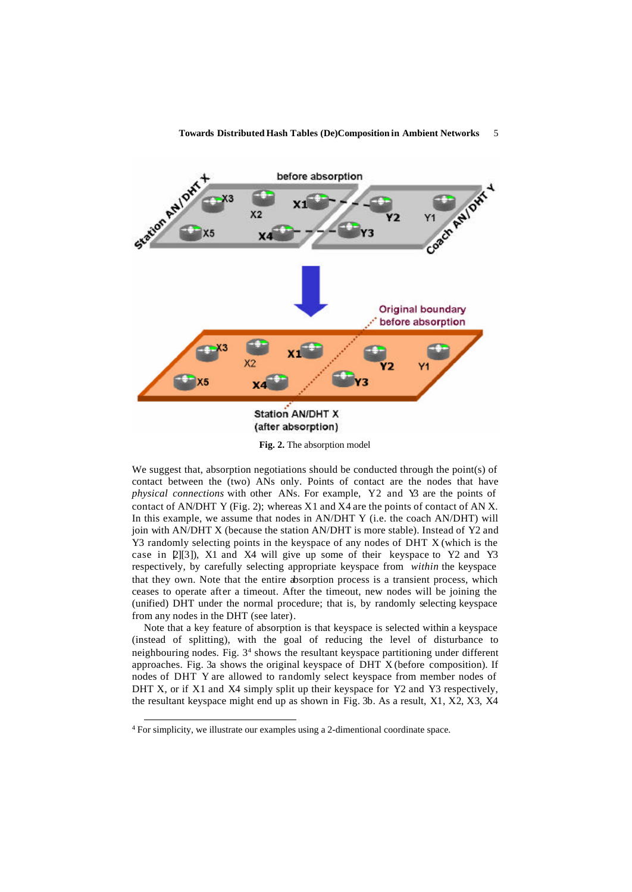

**Fig. 2.** The absorption model

We suggest that, absorption negotiations should be conducted through the point(s) of contact between the (two) ANs only. Points of contact are the nodes that have *physical connections* with other ANs. For example, Y2 and Y3 are the points of contact of AN/DHT Y (Fig. 2); whereas X1 and X4 are the points of contact of AN X. In this example, we assume that nodes in AN/DHT Y (i.e. the coach AN/DHT) will join with AN/DHT X (because the station AN/DHT is more stable). Instead of Y2 and Y3 randomly selecting points in the keyspace of any nodes of DHT X (which is the case in [2][3]), X1 and X4 will give up some of their keyspace to Y2 and Y3 respectively, by carefully selecting appropriate keyspace from *within* the keyspace that they own. Note that the entire absorption process is a transient process, which ceases to operate after a timeout. After the timeout, new nodes will be joining the (unified) DHT under the normal procedure; that is, by randomly selecting keyspace from any nodes in the DHT (see later).

Note that a key feature of absorption is that keyspace is selected within a keyspace (instead of splitting), with the goal of reducing the level of disturbance to neighbouring nodes. Fig. 3 4 shows the resultant keyspace partitioning under different approaches. Fig. 3a shows the original keyspace of DHT X (before composition). If nodes of DHT Y are allowed to randomly select keyspace from member nodes of DHT X, or if X1 and X4 simply split up their keyspace for Y2 and Y3 respectively, the resultant keyspace might end up as shown in Fig. 3b. As a result, X1, X2, X3, X4

l

<sup>&</sup>lt;sup>4</sup> For simplicity, we illustrate our examples using a 2-dimentional coordinate space.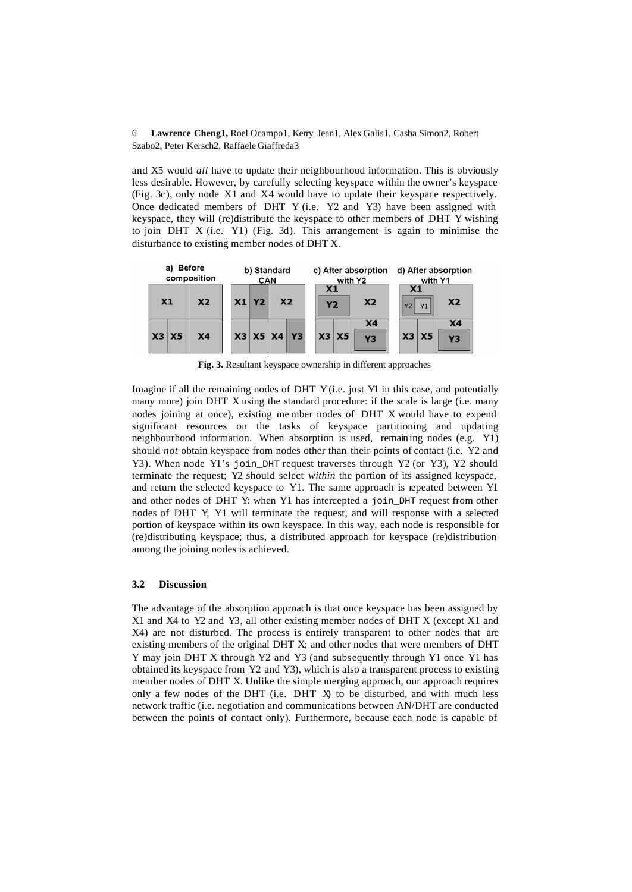and X5 would *all* have to update their neighbourhood information. This is obviously less desirable. However, by carefully selecting keyspace within the owner's keyspace (Fig. 3c), only node X1 and X4 would have to update their keyspace respectively. Once dedicated members of DHT Y (i.e. Y2 and Y3) have been assigned with keyspace, they will (re)distribute the keyspace to other members of DHT Y wishing to join DHT X (i.e. Y1) (Fig. 3d). This arrangement is again to minimise the disturbance to existing member nodes of DHT X.



**Fig. 3.** Resultant keyspace ownership in different approaches

Imagine if all the remaining nodes of DHT Y (i.e. just Y1 in this case, and potentially many more) join DHT X using the standard procedure: if the scale is large (i.e. many nodes joining at once), existing me mber nodes of DHT X would have to expend significant resources on the tasks of keyspace partitioning and updating neighbourhood information. When absorption is used, remaining nodes (e.g. Y1) should *not* obtain keyspace from nodes other than their points of contact (i.e. Y2 and Y3). When node Y1's join DHT request traverses through Y2 (or Y3), Y2 should terminate the request; Y2 should select *within* the portion of its assigned keyspace, and return the selected keyspace to Y1. The same approach is repeated between Y1 and other nodes of DHT Y: when Y1 has intercepted a join\_DHT request from other nodes of DHT Y, Y1 will terminate the request, and will response with a selected portion of keyspace within its own keyspace. In this way, each node is responsible for (re)distributing keyspace; thus, a distributed approach for keyspace (re)distribution among the joining nodes is achieved.

### **3.2 Discussion**

The advantage of the absorption approach is that once keyspace has been assigned by X1 and X4 to Y2 and Y3, all other existing member nodes of DHT X (except X1 and X4) are not disturbed. The process is entirely transparent to other nodes that are existing members of the original DHT X; and other nodes that were members of DHT Y may join DHT X through Y2 and Y3 (and subsequently through Y1 once Y1 has obtained its keyspace from Y2 and Y3), which is also a transparent process to existing member nodes of DHT X. Unlike the simple merging approach, our approach requires only a few nodes of the DHT (i.e. DHT X) to be disturbed, and with much less network traffic (i.e. negotiation and communications between AN/DHT are conducted between the points of contact only). Furthermore, because each node is capable of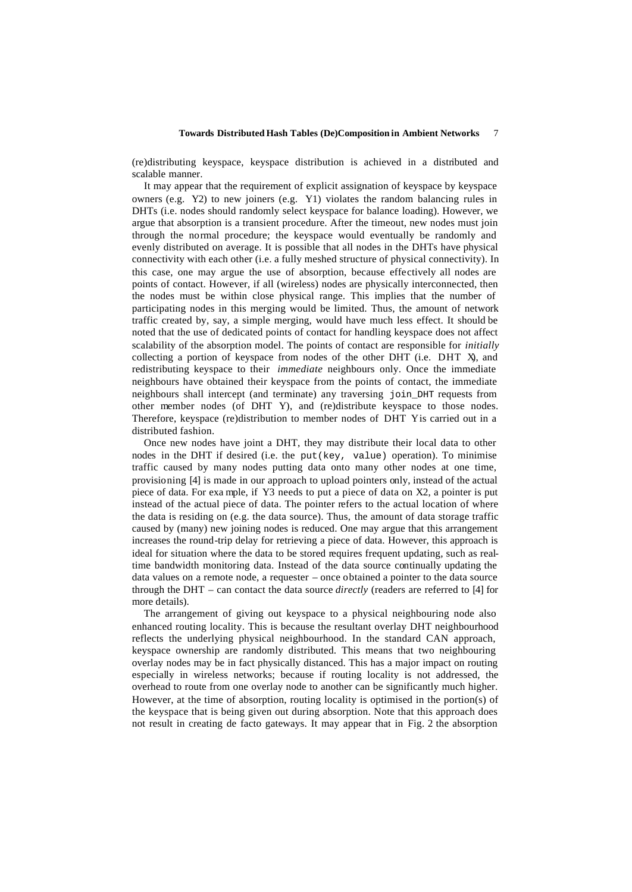(re)distributing keyspace, keyspace distribution is achieved in a distributed and scalable manner.

It may appear that the requirement of explicit assignation of keyspace by keyspace owners (e.g. Y2) to new joiners (e.g. Y1) violates the random balancing rules in DHTs (i.e. nodes should randomly select keyspace for balance loading). However, we argue that absorption is a transient procedure. After the timeout, new nodes must join through the normal procedure; the keyspace would eventually be randomly and evenly distributed on average. It is possible that all nodes in the DHTs have physical connectivity with each other (i.e. a fully meshed structure of physical connectivity). In this case, one may argue the use of absorption, because effectively all nodes are points of contact. However, if all (wireless) nodes are physically interconnected, then the nodes must be within close physical range. This implies that the number of participating nodes in this merging would be limited. Thus, the amount of network traffic created by, say, a simple merging, would have much less effect. It should be noted that the use of dedicated points of contact for handling keyspace does not affect scalability of the absorption model. The points of contact are responsible for *initially* collecting a portion of keyspace from nodes of the other DHT (i.e. DHT X), and redistributing keyspace to their *immediate* neighbours only. Once the immediate neighbours have obtained their keyspace from the points of contact, the immediate neighbours shall intercept (and terminate) any traversing join\_DHT requests from other member nodes (of DHT Y), and (re)distribute keyspace to those nodes. Therefore, keyspace (re)distribution to member nodes of DHT Y is carried out in a distributed fashion.

Once new nodes have joint a DHT, they may distribute their local data to other nodes in the DHT if desired (i.e. the put(key, value) operation). To minimise traffic caused by many nodes putting data onto many other nodes at one time, provisioning [4] is made in our approach to upload pointers only, instead of the actual piece of data. For exa mple, if Y3 needs to put a piece of data on X2, a pointer is put instead of the actual piece of data. The pointer refers to the actual location of where the data is residing on (e.g. the data source). Thus, the amount of data storage traffic caused by (many) new joining nodes is reduced. One may argue that this arrangement increases the round-trip delay for retrieving a piece of data. However, this approach is ideal for situation where the data to be stored requires frequent updating, such as realtime bandwidth monitoring data. Instead of the data source continually updating the data values on a remote node, a requester – once obtained a pointer to the data source through the DHT – can contact the data source *directly* (readers are referred to [4] for more details).

The arrangement of giving out keyspace to a physical neighbouring node also enhanced routing locality. This is because the resultant overlay DHT neighbourhood reflects the underlying physical neighbourhood. In the standard CAN approach, keyspace ownership are randomly distributed. This means that two neighbouring overlay nodes may be in fact physically distanced. This has a major impact on routing especially in wireless networks; because if routing locality is not addressed, the overhead to route from one overlay node to another can be significantly much higher. However, at the time of absorption, routing locality is optimised in the portion(s) of the keyspace that is being given out during absorption. Note that this approach does not result in creating de facto gateways. It may appear that in Fig. 2 the absorption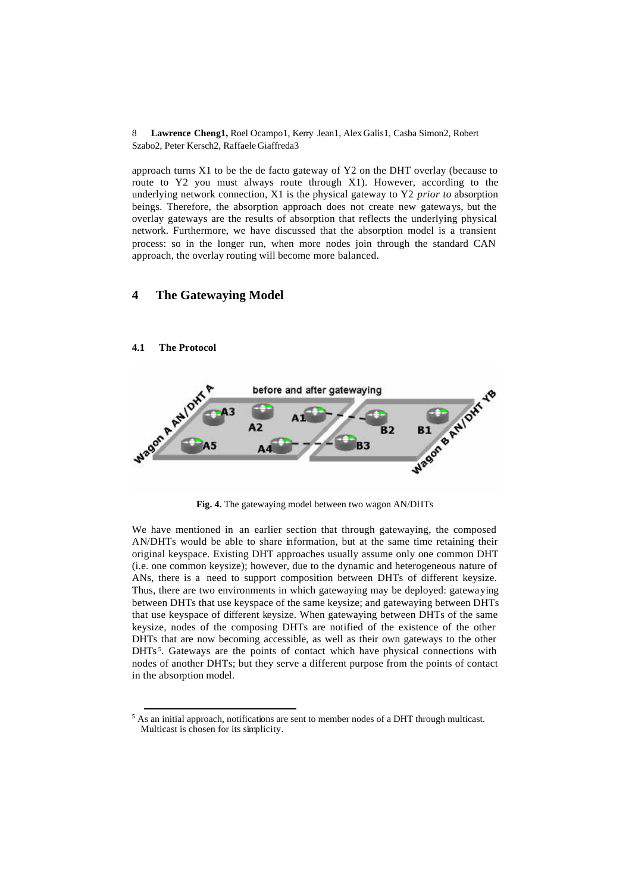approach turns X1 to be the de facto gateway of Y2 on the DHT overlay (because to route to Y2 you must always route through X1). However, according to the underlying network connection, X1 is the physical gateway to Y2 *prior to* absorption beings. Therefore, the absorption approach does not create new gateways, but the overlay gateways are the results of absorption that reflects the underlying physical network. Furthermore, we have discussed that the absorption model is a transient process: so in the longer run, when more nodes join through the standard CAN approach, the overlay routing will become more balanced.

# **4 The Gatewaying Model**

#### **4.1 The Protocol**

l



**Fig. 4.** The gatewaying model between two wagon AN/DHTs

We have mentioned in an earlier section that through gatewaying, the composed AN/DHTs would be able to share information, but at the same time retaining their original keyspace. Existing DHT approaches usually assume only one common DHT (i.e. one common keysize); however, due to the dynamic and heterogeneous nature of ANs, there is a need to support composition between DHTs of different keysize. Thus, there are two environments in which gatewaying may be deployed: gatewaying between DHTs that use keyspace of the same keysize; and gatewaying between DHTs that use keyspace of different keysize. When gatewaying between DHTs of the same keysize, nodes of the composing DHTs are notified of the existence of the other DHTs that are now becoming accessible, as well as their own gateways to the other DHTs<sup>5</sup>. Gateways are the points of contact which have physical connections with nodes of another DHTs; but they serve a different purpose from the points of contact in the absorption model.

<sup>5</sup> As an initial approach, notifications are sent to member nodes of a DHT through multicast. Multicast is chosen for its simplicity.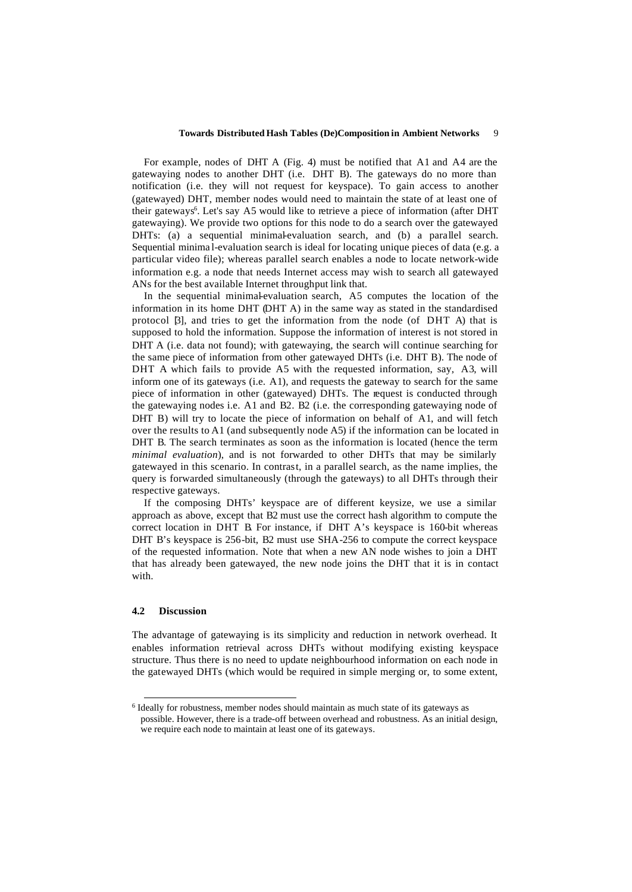For example, nodes of DHT A (Fig. 4) must be notified that A1 and A4 are the gatewaying nodes to another DHT (i.e. DHT B). The gateways do no more than notification (i.e. they will not request for keyspace). To gain access to another (gatewayed) DHT, member nodes would need to maintain the state of at least one of their gateways<sup>6</sup>. Let's say A5 would like to retrieve a piece of information (after DHT gatewaying). We provide two options for this node to do a search over the gatewayed DHTs: (a) a sequential minimal-evaluation search, and (b) a parallel search. Sequential minima l-evaluation search is ideal for locating unique pieces of data (e.g. a particular video file); whereas parallel search enables a node to locate network-wide information e.g. a node that needs Internet access may wish to search all gatewayed ANs for the best available Internet throughput link that.

In the sequential minimal-evaluation search, A5 computes the location of the information in its home DHT (DHT A) in the same way as stated in the standardised protocol [3], and tries to get the information from the node (of DHT A) that is supposed to hold the information. Suppose the information of interest is not stored in DHT A (i.e. data not found); with gatewaying, the search will continue searching for the same piece of information from other gatewayed DHTs (i.e. DHT B). The node of DHT A which fails to provide A5 with the requested information, say, A3, will inform one of its gateways (i.e. A1), and requests the gateway to search for the same piece of information in other (gatewayed) DHTs. The request is conducted through the gatewaying nodes i.e. A1 and B2. B2 (i.e. the corresponding gatewaying node of DHT B) will try to locate the piece of information on behalf of A1, and will fetch over the results to A1 (and subsequently node A5) if the information can be located in DHT B. The search terminates as soon as the information is located (hence the term *minimal evaluation*), and is not forwarded to other DHTs that may be similarly gatewayed in this scenario. In contrast, in a parallel search, as the name implies, the query is forwarded simultaneously (through the gateways) to all DHTs through their respective gateways.

If the composing DHTs' keyspace are of different keysize, we use a similar approach as above, except that B2 must use the correct hash algorithm to compute the correct location in DHT B. For instance, if DHT A's keyspace is 160-bit whereas DHT B's keyspace is 256-bit, B2 must use SHA-256 to compute the correct keyspace of the requested information. Note that when a new AN node wishes to join a DHT that has already been gatewayed, the new node joins the DHT that it is in contact with.

# **4.2 Discussion**

l

The advantage of gatewaying is its simplicity and reduction in network overhead. It enables information retrieval across DHTs without modifying existing keyspace structure. Thus there is no need to update neighbourhood information on each node in the gatewayed DHTs (which would be required in simple merging or, to some extent,

<sup>&</sup>lt;sup>6</sup> Ideally for robustness, member nodes should maintain as much state of its gateways as possible. However, there is a trade-off between overhead and robustness. As an initial design, we require each node to maintain at least one of its gateways.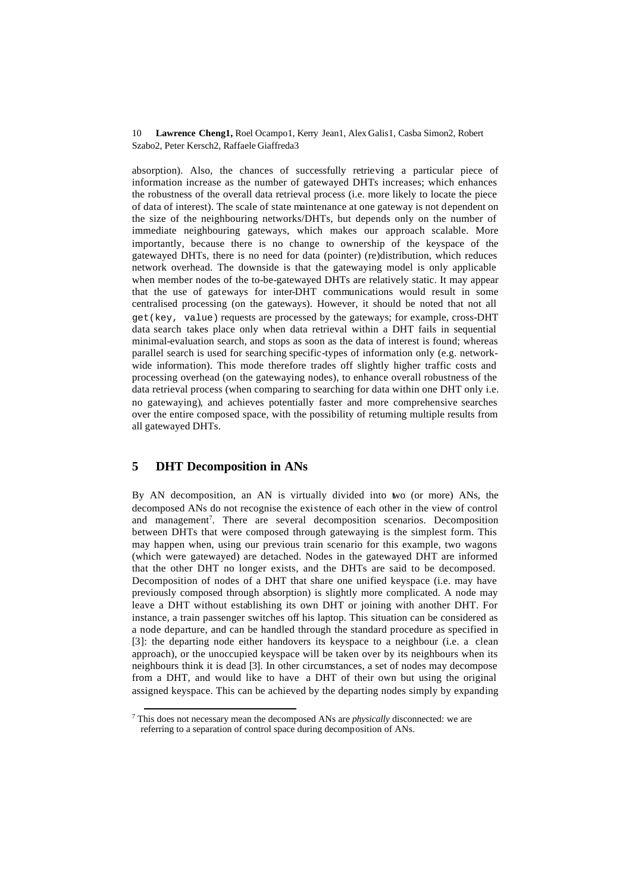absorption). Also, the chances of successfully retrieving a particular piece of information increase as the number of gatewayed DHTs increases; which enhances the robustness of the overall data retrieval process (i.e. more likely to locate the piece of data of interest). The scale of state maintenance at one gateway is not dependent on the size of the neighbouring networks/DHTs, but depends only on the number of immediate neighbouring gateways, which makes our approach scalable. More importantly, because there is no change to ownership of the keyspace of the gatewayed DHTs, there is no need for data (pointer) (re)distribution, which reduces network overhead. The downside is that the gatewaying model is only applicable when member nodes of the to-be-gatewayed DHTs are relatively static. It may appear that the use of gateways for inter-DHT communications would result in some centralised processing (on the gateways). However, it should be noted that not all get(key, value) requests are processed by the gateways; for example, cross-DHT data search takes place only when data retrieval within a DHT fails in sequential minimal-evaluation search, and stops as soon as the data of interest is found; whereas parallel search is used for searching specific-types of information only (e.g. networkwide information). This mode therefore trades off slightly higher traffic costs and processing overhead (on the gatewaying nodes), to enhance overall robustness of the data retrieval process (when comparing to searching for data within one DHT only i.e. no gatewaying), and achieves potentially faster and more comprehensive searches over the entire composed space, with the possibility of returning multiple results from all gatewayed DHTs.

# **5 DHT Decomposition in ANs**

l

By AN decomposition, an AN is virtually divided into two (or more) ANs, the decomposed ANs do not recognise the existence of each other in the view of control and management<sup>7</sup>. There are several decomposition scenarios. Decomposition between DHTs that were composed through gatewaying is the simplest form. This may happen when, using our previous train scenario for this example, two wagons (which were gatewayed) are detached. Nodes in the gatewayed DHT are informed that the other DHT no longer exists, and the DHTs are said to be decomposed. Decomposition of nodes of a DHT that share one unified keyspace (i.e. may have previously composed through absorption) is slightly more complicated. A node may leave a DHT without establishing its own DHT or joining with another DHT. For instance, a train passenger switches off his laptop. This situation can be considered as a node departure, and can be handled through the standard procedure as specified in [3]: the departing node either handovers its keyspace to a neighbour (i.e. a clean approach), or the unoccupied keyspace will be taken over by its neighbours when its neighbours think it is dead [3]. In other circumstances, a set of nodes may decompose from a DHT, and would like to have a DHT of their own but using the original assigned keyspace. This can be achieved by the departing nodes simply by expanding

<sup>7</sup> This does not necessary mean the decomposed ANs are *physically* disconnected: we are referring to a separation of control space during decomposition of ANs.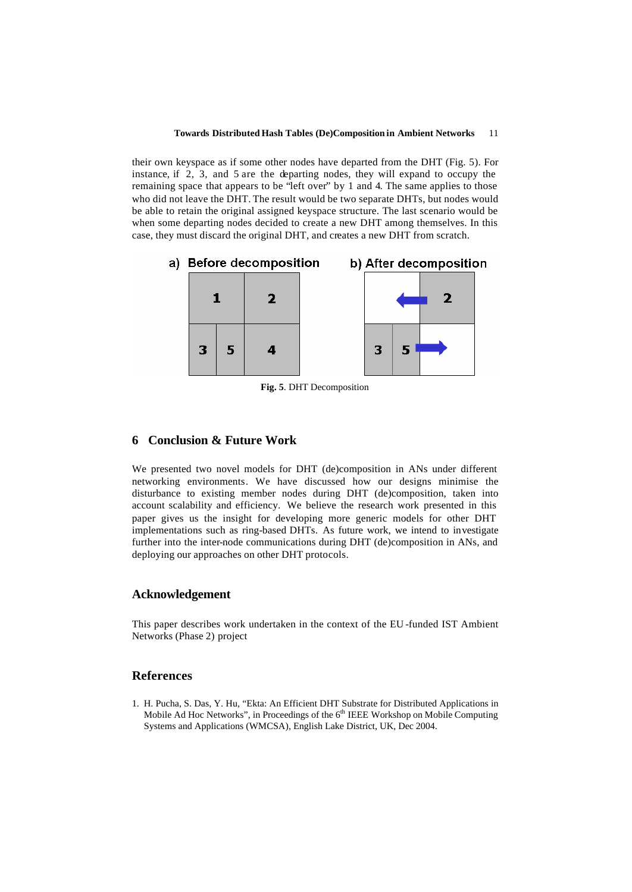their own keyspace as if some other nodes have departed from the DHT (Fig. 5). For instance, if 2, 3, and 5 are the departing nodes, they will expand to occupy the remaining space that appears to be "left over" by 1 and 4. The same applies to those who did not leave the DHT. The result would be two separate DHTs, but nodes would be able to retain the original assigned keyspace structure. The last scenario would be when some departing nodes decided to create a new DHT among themselves. In this case, they must discard the original DHT, and creates a new DHT from scratch.



**Fig. 5**. DHT Decomposition

# **6 Conclusion & Future Work**

We presented two novel models for DHT (de)composition in ANs under different networking environments. We have discussed how our designs minimise the disturbance to existing member nodes during DHT (de)composition, taken into account scalability and efficiency. We believe the research work presented in this paper gives us the insight for developing more generic models for other DHT implementations such as ring-based DHTs. As future work, we intend to investigate further into the inter-node communications during DHT (de)composition in ANs, and deploying our approaches on other DHT protocols.

### **Acknowledgement**

This paper describes work undertaken in the context of the EU -funded IST Ambient Networks (Phase 2) project

### **References**

1. H. Pucha, S. Das, Y. Hu, "Ekta: An Efficient DHT Substrate for Distributed Applications in Mobile Ad Hoc Networks", in Proceedings of the  $6<sup>th</sup>$  IEEE Workshop on Mobile Computing Systems and Applications (WMCSA), English Lake District, UK, Dec 2004.